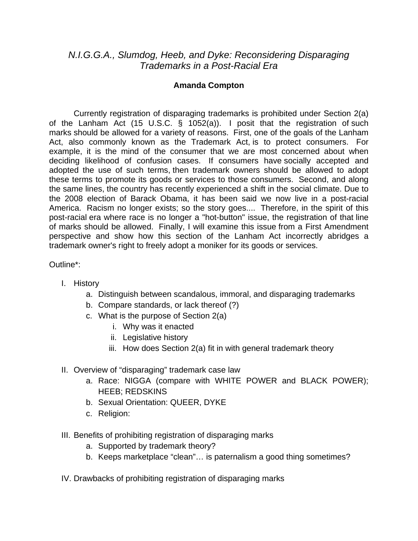## *N.I.G.G.A., Slumdog, Heeb, and Dyke: Reconsidering Disparaging Trademarks in a Post-Racial Era*

## **Amanda Compton**

Currently registration of disparaging trademarks is prohibited under Section 2(a) of the Lanham Act (15 U.S.C. § 1052(a)). I posit that the registration of such marks should be allowed for a variety of reasons. First, one of the goals of the Lanham Act, also commonly known as the Trademark Act, is to protect consumers. For example, it is the mind of the consumer that we are most concerned about when deciding likelihood of confusion cases. If consumers have socially accepted and adopted the use of such terms, then trademark owners should be allowed to adopt these terms to promote its goods or services to those consumers. Second, and along the same lines, the country has recently experienced a shift in the social climate. Due to the 2008 election of Barack Obama, it has been said we now live in a post-racial America. Racism no longer exists; so the story goes.... Therefore, in the spirit of this post-racial era where race is no longer a "hot-button" issue, the registration of that line of marks should be allowed. Finally, I will examine this issue from a First Amendment perspective and show how this section of the Lanham Act incorrectly abridges a trademark owner's right to freely adopt a moniker for its goods or services.

## Outline\*:

- I. History
	- a. Distinguish between scandalous, immoral, and disparaging trademarks
	- b. Compare standards, or lack thereof (?)
	- c. What is the purpose of Section 2(a)
		- i. Why was it enacted
		- ii. Legislative history
		- iii. How does Section 2(a) fit in with general trademark theory
- II. Overview of "disparaging" trademark case law
	- a. Race: NIGGA (compare with WHITE POWER and BLACK POWER); HEEB; REDSKINS
	- b. Sexual Orientation: QUEER, DYKE
	- c. Religion:
- III. Benefits of prohibiting registration of disparaging marks
	- a. Supported by trademark theory?
	- b. Keeps marketplace "clean"… is paternalism a good thing sometimes?
- IV. Drawbacks of prohibiting registration of disparaging marks